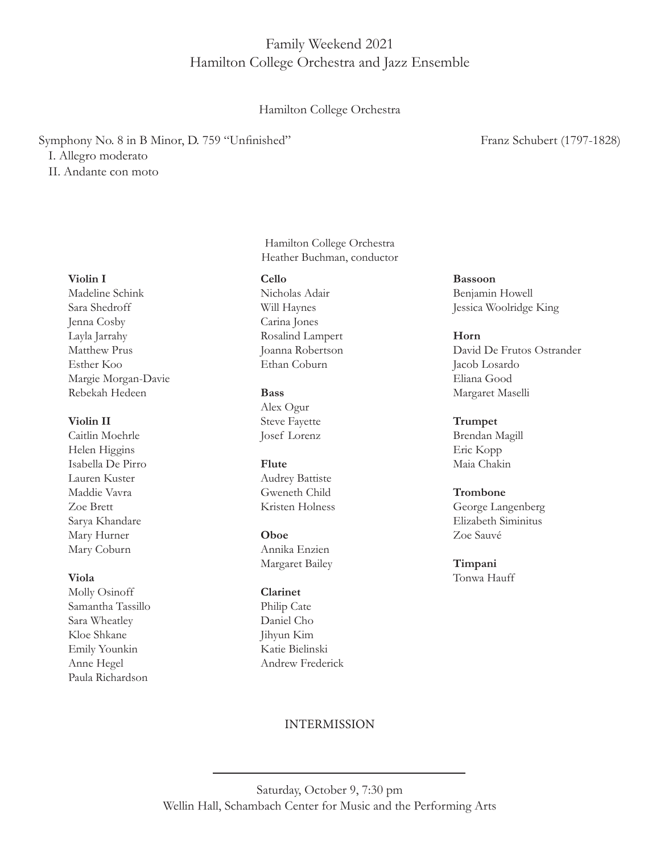# Family Weekend 2021 Hamilton College Orchestra and Jazz Ensemble

# Hamilton College Orchestra

Symphony No. 8 in B Minor, D. 759 "Unfinished" Franz Schubert (1797-1828) I. Allegro moderato II. Andante con moto

## **Violin I**

Madeline Schink Sara Shedroff Jenna Cosby Layla Jarrahy Matthew Prus Esther Koo Margie Morgan-Davie Rebekah Hedeen

# **Violin II**

Caitlin Moehrle Helen Higgins Isabella De Pirro Lauren Kuster Maddie Vavra Zoe Brett Sarya Khandare Mary Hurner Mary Coburn

# **Viola**

Molly Osinoff Samantha Tassillo Sara Wheatley Kloe Shkane Emily Younkin Anne Hegel Paula Richardson

Hamilton College Orchestra Heather Buchman, conductor

#### **Cello**

Nicholas Adair Will Haynes Carina Jones Rosalind Lampert Joanna Robertson Ethan Coburn

## **Bass**

Alex Ogur Steve Fayette Josef Lorenz

## **Flute**

Audrey Battiste Gweneth Child Kristen Holness

#### **Oboe**

Annika Enzien Margaret Bailey

## **Clarinet**

Philip Cate Daniel Cho Jihyun Kim Katie Bielinski Andrew Frederick

**Bassoon**  Benjamin Howell Jessica Woolridge King

# **Horn**  David De Frutos Ostrander

Jacob Losardo Eliana Good Margaret Maselli

# **Trumpet**

Brendan Magill Eric Kopp Maia Chakin

# **Trombone**

George Langenberg Elizabeth Siminitus Zoe Sauvé

**Timpani** Tonwa Hauff

# INTERMISSION